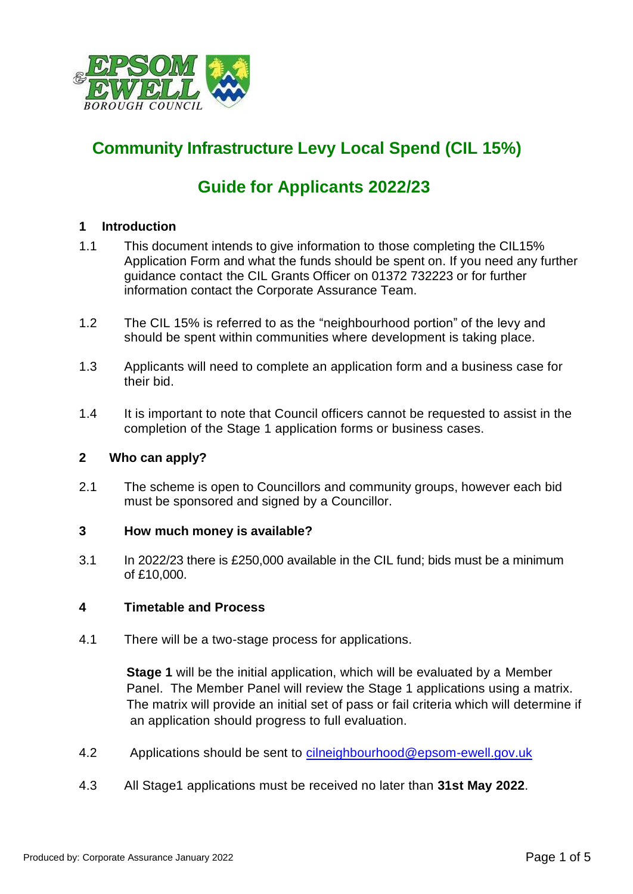

# **Community Infrastructure Levy Local Spend (CIL 15%)**

# **Guide for Applicants 2022/23**

## **1 Introduction**

- 1.1 This document intends to give information to those completing the CIL15% Application Form and what the funds should be spent on. If you need any further guidance contact the CIL Grants Officer on 01372 732223 or for further information contact the Corporate Assurance Team.
- 1.2 The CIL 15% is referred to as the "neighbourhood portion" of the levy and should be spent within communities where development is taking place.
- 1.3 Applicants will need to complete an application form and a business case for their bid.
- 1.4 It is important to note that Council officers cannot be requested to assist in the completion of the Stage 1 application forms or business cases.

### **2 Who can apply?**

2.1 The scheme is open to Councillors and community groups, however each bid must be sponsored and signed by a Councillor.

### **3 How much money is available?**

3.1 In 2022/23 there is £250,000 available in the CIL fund; bids must be a minimum of £10,000.

## **4 Timetable and Process**

4.1 There will be a two-stage process for applications.

 **Stage 1** will be the initial application, which will be evaluated by a Member Panel. The Member Panel will review the Stage 1 applications using a matrix. The matrix will provide an initial set of pass or fail criteria which will determine if an application should progress to full evaluation.

- 4.2 Applications should be sent to [cilneighbourhood@epsom-ewell.gov.uk](mailto:cilneighbourhood@epsom-ewell.gov.uk)
- 4.3 All Stage1 applications must be received no later than **31st May 2022**.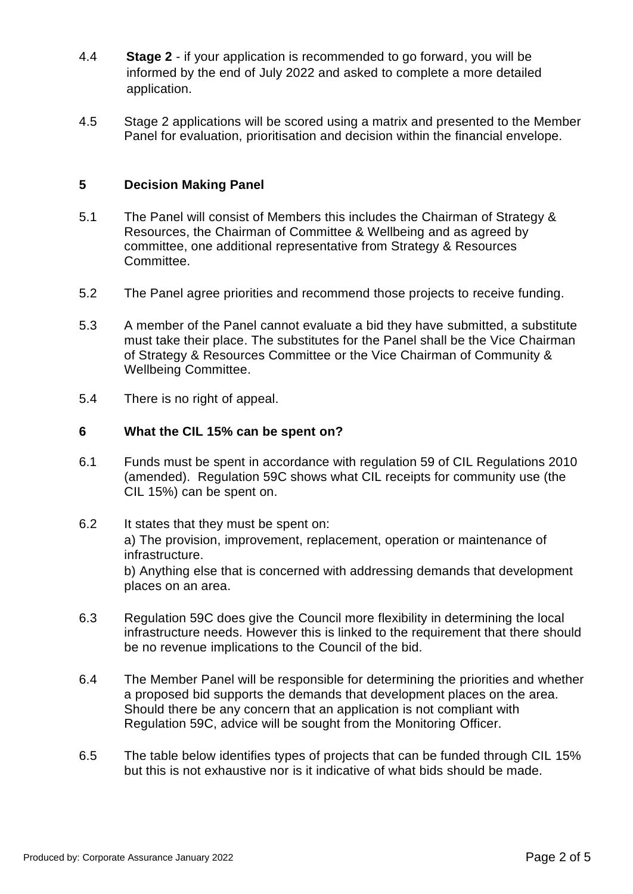- 4.4 **Stage 2** if your application is recommended to go forward, you will be informed by the end of July 2022 and asked to complete a more detailed application.
- 4.5 Stage 2 applications will be scored using a matrix and presented to the Member Panel for evaluation, prioritisation and decision within the financial envelope.

## **5 Decision Making Panel**

- 5.1 The Panel will consist of Members this includes the Chairman of Strategy & Resources, the Chairman of Committee & Wellbeing and as agreed by committee, one additional representative from Strategy & Resources Committee.
- 5.2 The Panel agree priorities and recommend those projects to receive funding.
- 5.3 A member of the Panel cannot evaluate a bid they have submitted, a substitute must take their place. The substitutes for the Panel shall be the Vice Chairman of Strategy & Resources Committee or the Vice Chairman of Community & Wellbeing Committee.
- 5.4 There is no right of appeal.

## **6 What the CIL 15% can be spent on?**

- 6.1 Funds must be spent in accordance with regulation 59 of CIL Regulations 2010 (amended). Regulation 59C shows what CIL receipts for community use (the CIL 15%) can be spent on.
- 6.2 It states that they must be spent on: a) The provision, improvement, replacement, operation or maintenance of infrastructure. b) Anything else that is concerned with addressing demands that development places on an area.
- 6.3 Regulation 59C does give the Council more flexibility in determining the local infrastructure needs. However this is linked to the requirement that there should be no revenue implications to the Council of the bid.
- 6.4 The Member Panel will be responsible for determining the priorities and whether a proposed bid supports the demands that development places on the area. Should there be any concern that an application is not compliant with Regulation 59C, advice will be sought from the Monitoring Officer.
- 6.5 The table below identifies types of projects that can be funded through CIL 15% but this is not exhaustive nor is it indicative of what bids should be made.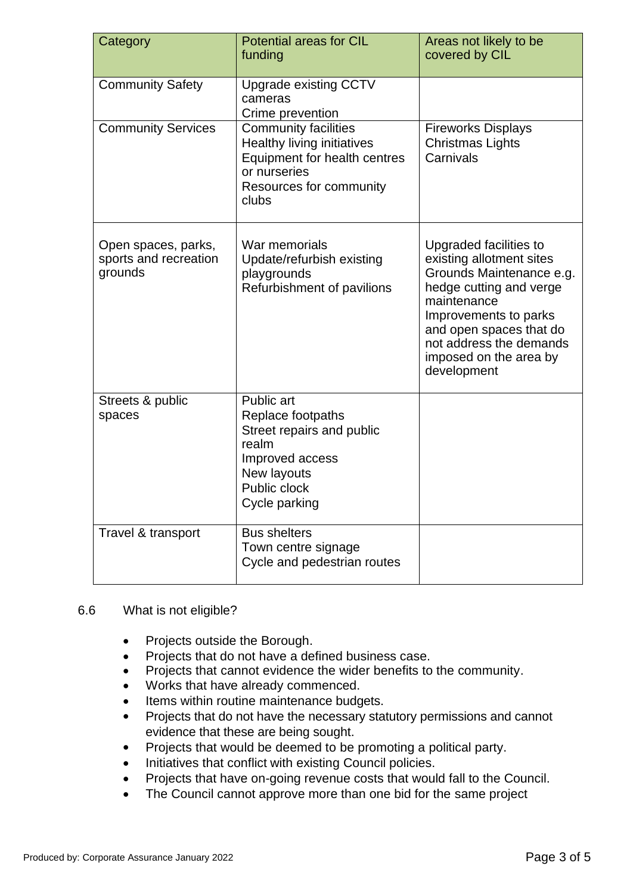| Category                                                | <b>Potential areas for CIL</b><br>funding                                                                                                            | Areas not likely to be<br>covered by CIL                                                                                                                                                                                                         |
|---------------------------------------------------------|------------------------------------------------------------------------------------------------------------------------------------------------------|--------------------------------------------------------------------------------------------------------------------------------------------------------------------------------------------------------------------------------------------------|
| <b>Community Safety</b>                                 | <b>Upgrade existing CCTV</b><br>cameras<br>Crime prevention                                                                                          |                                                                                                                                                                                                                                                  |
| <b>Community Services</b>                               | <b>Community facilities</b><br><b>Healthy living initiatives</b><br>Equipment for health centres<br>or nurseries<br>Resources for community<br>clubs | <b>Fireworks Displays</b><br><b>Christmas Lights</b><br>Carnivals                                                                                                                                                                                |
| Open spaces, parks,<br>sports and recreation<br>grounds | War memorials<br>Update/refurbish existing<br>playgrounds<br>Refurbishment of pavilions                                                              | Upgraded facilities to<br>existing allotment sites<br>Grounds Maintenance e.g.<br>hedge cutting and verge<br>maintenance<br>Improvements to parks<br>and open spaces that do<br>not address the demands<br>imposed on the area by<br>development |
| Streets & public<br>spaces                              | Public art<br>Replace footpaths<br>Street repairs and public<br>realm<br>Improved access<br>New layouts<br>Public clock<br>Cycle parking             |                                                                                                                                                                                                                                                  |
| Travel & transport                                      | <b>Bus shelters</b><br>Town centre signage<br>Cycle and pedestrian routes                                                                            |                                                                                                                                                                                                                                                  |

### 6.6 What is not eligible?

- Projects outside the Borough.
- Projects that do not have a defined business case.
- Projects that cannot evidence the wider benefits to the community.
- Works that have already commenced.
- Items within routine maintenance budgets.
- Projects that do not have the necessary statutory permissions and cannot evidence that these are being sought.
- Projects that would be deemed to be promoting a political party.
- Initiatives that conflict with existing Council policies.
- Projects that have on-going revenue costs that would fall to the Council.
- The Council cannot approve more than one bid for the same project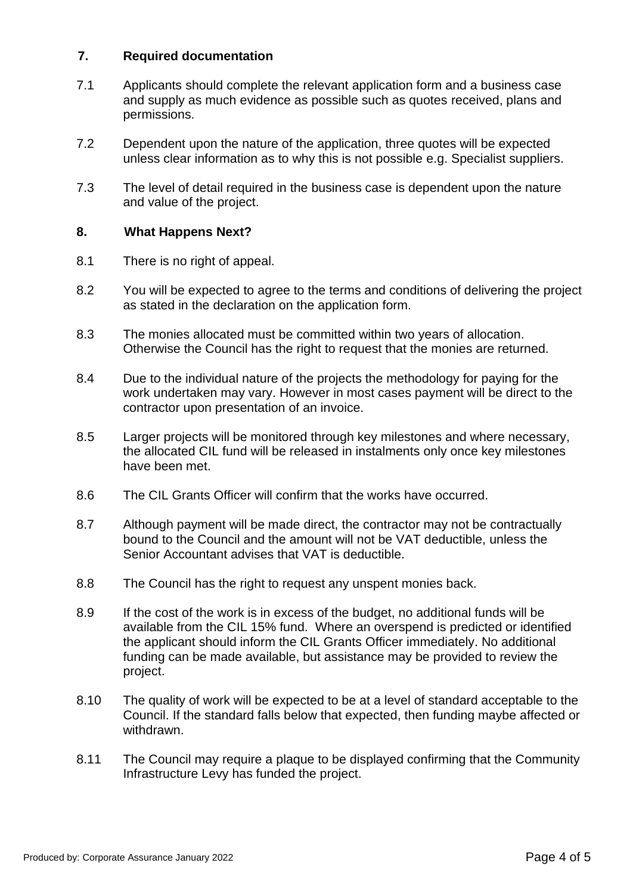## **7. Required documentation**

- 7.1 Applicants should complete the relevant application form and a business case and supply as much evidence as possible such as quotes received, plans and permissions.
- 7.2 Dependent upon the nature of the application, three quotes will be expected unless clear information as to why this is not possible e.g. Specialist suppliers.
- 7.3 The level of detail required in the business case is dependent upon the nature and value of the project.

### **8. What Happens Next?**

- 8.1 There is no right of appeal.
- 8.2 You will be expected to agree to the terms and conditions of delivering the project as stated in the declaration on the application form.
- 8.3 The monies allocated must be committed within two years of allocation. Otherwise the Council has the right to request that the monies are returned.
- 8.4 Due to the individual nature of the projects the methodology for paying for the work undertaken may vary. However in most cases payment will be direct to the contractor upon presentation of an invoice.
- 8.5 Larger projects will be monitored through key milestones and where necessary, the allocated CIL fund will be released in instalments only once key milestones have been met.
- 8.6 The CIL Grants Officer will confirm that the works have occurred.
- 8.7 Although payment will be made direct, the contractor may not be contractually bound to the Council and the amount will not be VAT deductible, unless the Senior Accountant advises that VAT is deductible.
- 8.8 The Council has the right to request any unspent monies back.
- 8.9 If the cost of the work is in excess of the budget, no additional funds will be available from the CIL 15% fund. Where an overspend is predicted or identified the applicant should inform the CIL Grants Officer immediately. No additional funding can be made available, but assistance may be provided to review the project.
- 8.10 The quality of work will be expected to be at a level of standard acceptable to the Council. If the standard falls below that expected, then funding maybe affected or withdrawn.
- 8.11 The Council may require a plaque to be displayed confirming that the Community Infrastructure Levy has funded the project.